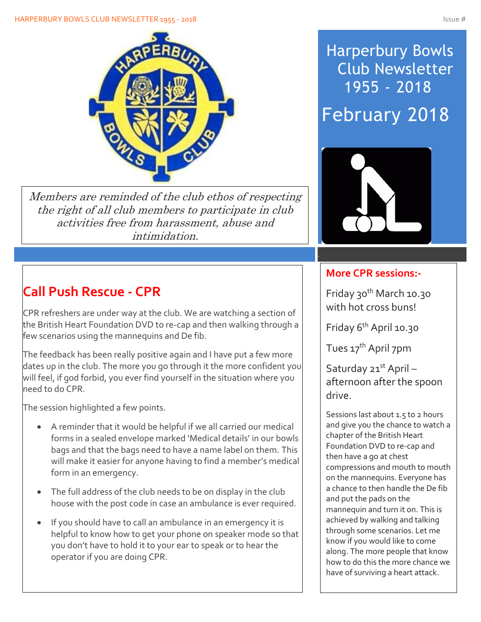

Members are reminded of the club ethos of respecting the right of all club members to participate in club activities free from harassment, abuse and intimidation.

# **Call Push Rescue - CPR**

CPR refreshers are under way at the club. We are watching a section of the British Heart Foundation DVD to re-cap and then walking through a few scenarios using the mannequins and De fib.

The feedback has been really positive again and I have put a few more dates up in the club. The more you go through it the more confident you will feel, if god forbid, you ever find yourself in the situation where you need to do CPR.

The session highlighted a few points.

- A reminder that it would be helpful if we all carried our medical forms in a sealed envelope marked 'Medical details' in our bowls bags and that the bags need to have a name label on them. This will make it easier for anyone having to find a member's medical form in an emergency.
- The full address of the club needs to be on display in the club house with the post code in case an ambulance is ever required.
- If you should have to call an ambulance in an emergency it is helpful to know how to get your phone on speaker mode so that you don't have to hold it to your ear to speak or to hear the operator if you are doing CPR.

# Harperbury Bowls Club Newsletter 1955 - 2018 February 2018



## **More CPR sessions:-**

Friday 30th March 10.30 with hot cross buns!

Friday 6th April 10.30

Tues 17<sup>th</sup> April 7pm

Saturday 21st April afternoon after the spoon drive.

Sessions last about 1.5 to 2 hours and give you the chance to watch a chapter of the British Heart Foundation DVD to re-cap and then have a go at chest compressions and mouth to mouth on the mannequins. Everyone has a chance to then handle the De fib and put the pads on the mannequin and turn it on. This is achieved by walking and talking through some scenarios. Let me know if you would like to come along. The more people that know how to do this the more chance we have of surviving a heart attack.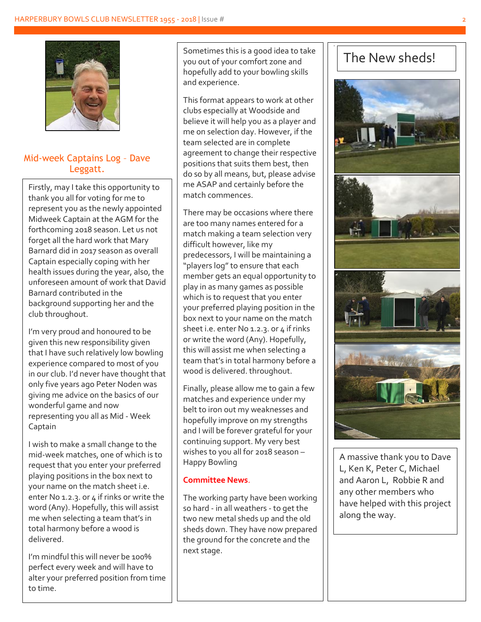

## Mid-week Captains Log – Dave Leggatt.

Firstly, may I take this opportunity to thank you all for voting for me to represent you as the newly appointed Midweek Captain at the AGM for the forthcoming 2018 season. Let us not forget all the hard work that Mary Barnard did in 2017 season as overall Captain especially coping with her health issues during the year, also, the unforeseen amount of work that David Barnard contributed in the background supporting her and the club throughout.

I'm very proud and honoured to be given this new responsibility given that I have such relatively low bowling experience compared to most of you in our club. I'd never have thought that only five years ago Peter Noden was giving me advice on the basics of our wonderful game and now representing you all as Mid - Week Captain

I wish to make a small change to the mid-week matches, one of which is to request that you enter your preferred playing positions in the box next to your name on the match sheet i.e. enter No 1.2.3. or 4 if rinks or write the word (Any). Hopefully, this will assist me when selecting a team that's in total harmony before a wood is delivered.

I'm mindful this will never be 100% perfect every week and will have to alter your preferred position from time to time.

Sometimes this is a good idea to take you out of your comfort zone and hopefully add to your bowling skills and experience.

This format appears to work at other clubs especially at Woodside and believe it will help you as a player and me on selection day. However, if the team selected are in complete agreement to change their respective positions that suits them best, then do so by all means, but, please advise me ASAP and certainly before the match commences.

There may be occasions where there are too many names entered for a match making a team selection very difficult however, like my predecessors, I will be maintaining a "players log" to ensure that each member gets an equal opportunity to play in as many games as possible which is to request that you enter your preferred playing position in the box next to your name on the match sheet i.e. enter No 1.2.3. or 4 if rinks or write the word (Any). Hopefully, this will assist me when selecting a team that's in total harmony before a wood is delivered. throughout.

Finally, please allow me to gain a few matches and experience under my belt to iron out my weaknesses and hopefully improve on my strengths and I will be forever grateful for your continuing support. My very best wishes to you all for 2018 season – Happy Bowling

#### **Committee News**.

The working party have been working so hard - in all weathers - to get the two new metal sheds up and the old sheds down. They have now prepared the ground for the concrete and the next stage.

# The New sheds!



A massive thank you to Dave L, Ken K, Peter C, Michael and Aaron L, Robbie R and any other members who have helped with this project along the way.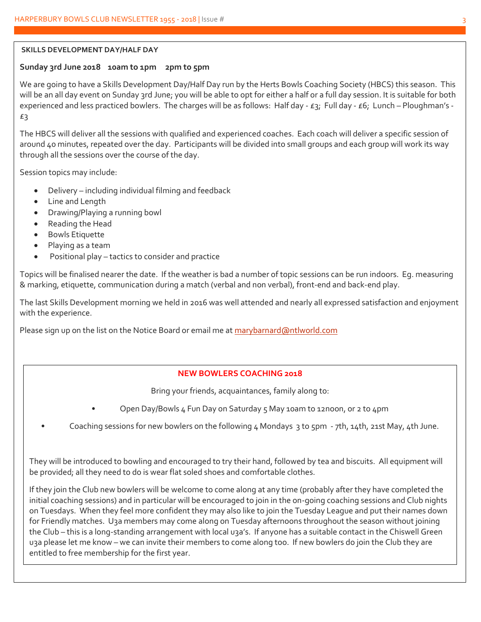#### **SKILLS DEVELOPMENT DAY/HALF DAY**

#### **Sunday 3rd June 2018 10am to 1pm 2pm to 5pm**

We are going to have a Skills Development Day/Half Day run by the Herts Bowls Coaching Society (HBCS) this season. This will be an all day event on Sunday 3rd June; you will be able to opt for either a half or a full day session. It is suitable for both experienced and less practiced bowlers. The charges will be as follows: Half day - £3; Full day - £6; Lunch – Ploughman's -£3

The HBCS will deliver all the sessions with qualified and experienced coaches. Each coach will deliver a specific session of around 40 minutes, repeated over the day. Participants will be divided into small groups and each group will work its way through all the sessions over the course of the day.

Session topics may include:

- Delivery including individual filming and feedback
- Line and Length
- Drawing/Playing a running bowl
- Reading the Head
- Bowls Etiquette
- Playing as a team
- Positional play tactics to consider and practice

Topics will be finalised nearer the date. If the weather is bad a number of topic sessions can be run indoors. Eg. measuring & marking, etiquette, communication during a match (verbal and non verbal), front-end and back-end play.

The last Skills Development morning we held in 2016 was well attended and nearly all expressed satisfaction and enjoyment with the experience.

Please sign up on the list on the Notice Board or email me at [marybarnard@ntlworld.com](mailto:marybarnard@ntlworld.com)

### **NEW BOWLERS COACHING 2018**

Bring your friends, acquaintances, family along to:

- Open Day/Bowls 4 Fun Day on Saturday 5 May 10am to 12noon, or 2 to 4pm
- Coaching sessions for new bowlers on the following  $4$  Mondays 3 to 5pm 7th, 14th, 21st May, 4th June.

They will be introduced to bowling and encouraged to try their hand, followed by tea and biscuits. All equipment will be provided; all they need to do is wear flat soled shoes and comfortable clothes.

If they join the Club new bowlers will be welcome to come along at any time (probably after they have completed the initial coaching sessions) and in particular will be encouraged to join in the on-going coaching sessions and Club nights on Tuesdays. When they feel more confident they may also like to join the Tuesday League and put their names down for Friendly matches. U3a members may come along on Tuesday afternoons throughout the season without joining the Club – this is a long-standing arrangement with local u3a's. If anyone has a suitable contact in the Chiswell Green u3a please let me know – we can invite their members to come along too. If new bowlers do join the Club they are entitled to free membership for the first year.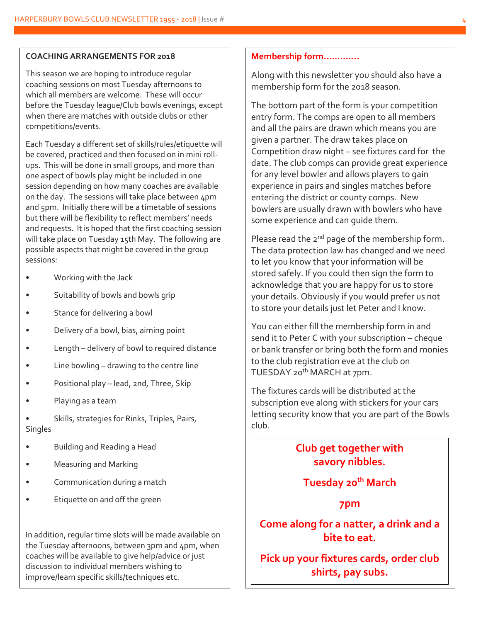#### **COACHING ARRANGEMENTS FOR 2018**

This season we are hoping to introduce regular coaching sessions on most Tuesday afternoons to which all members are welcome. These will occur before the Tuesday league/Club bowls evenings, except when there are matches with outside clubs or other competitions/events.

Each Tuesday a different set of skills/rules/etiquette will be covered, practiced and then focused on in mini rollups. This will be done in small groups, and more than one aspect of bowls play might be included in one session depending on how many coaches are available on the day. The sessions will take place between 4pm and 5pm. Initially there will be a timetable of sessions but there will be flexibility to reflect members' needs and requests. It is hoped that the first coaching session will take place on Tuesday 15th May. The following are possible aspects that might be covered in the group sessions:

- Working with the Jack
- Suitability of bowls and bowls grip
- Stance for delivering a bowl
- Delivery of a bowl, bias, aiming point
- Length delivery of bowl to required distance
- Line bowling  $-$  drawing to the centre line
- Positional play lead, 2nd, Three, Skip
- Playing as a team

• Skills, strategies for Rinks, Triples, Pairs, **Singles** 

- Building and Reading a Head
- Measuring and Marking
- Communication during a match
- Etiquette on and off the green

In addition, regular time slots will be made available on the Tuesday afternoons, between 3pm and 4pm, when coaches will be available to give help/advice or just discussion to individual members wishing to improve/learn specific skills/techniques etc.

#### **Membership form………….**

Along with this newsletter you should also have a membership form for the 2018 season.

The bottom part of the form is your competition entry form. The comps are open to all members and all the pairs are drawn which means you are given a partner. The draw takes place on Competition draw night – see fixtures card for the date. The club comps can provide great experience for any level bowler and allows players to gain experience in pairs and singles matches before entering the district or county comps. New bowlers are usually drawn with bowlers who have some experience and can guide them.

Please read the  $2^{nd}$  page of the membership form. The data protection law has changed and we need to let you know that your information will be stored safely. If you could then sign the form to acknowledge that you are happy for us to store your details. Obviously if you would prefer us not to store your details just let Peter and I know.

You can either fill the membership form in and send it to Peter C with your subscription – cheque or bank transfer or bring both the form and monies to the club registration eve at the club on TUESDAY 20<sup>th</sup> MARCH at 7pm.

The fixtures cards will be distributed at the subscription eve along with stickers for your cars letting security know that you are part of the Bowls club.

## **Club get together with savory nibbles.**

## **Tuesday 20th March**

### **7pm**

**Come along for a natter, a drink and a bite to eat.**

**Pick up your fixtures cards, order club shirts, pay subs.**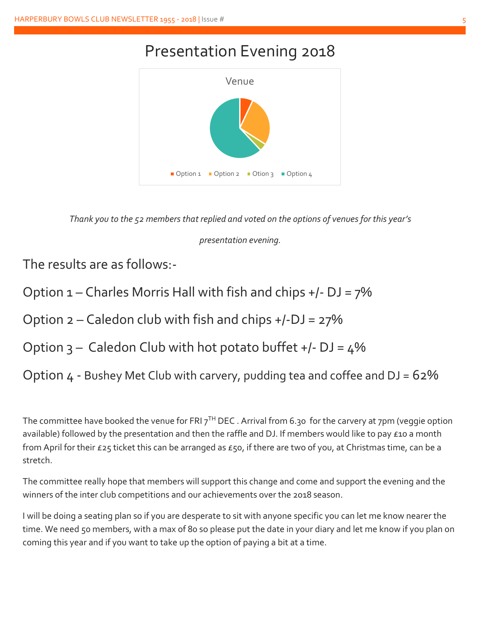# Presentation Evening 2018



*Thank you to the 52 members that replied and voted on the options of venues for this year's* 

### *presentation evening.*

The results are as follows:-

Option 1 – Charles Morris Hall with fish and chips +/- DJ = 7%

Option  $2 -$  Caledon club with fish and chips  $+/-D$ J = 27%

Option  $3$  – Caledon Club with hot potato buffet +/- DJ =  $4\%$ 

Option  $4 -$  Bushey Met Club with carvery, pudding tea and coffee and  $DJ = 62\%$ 

The committee have booked the venue for FRI 7<sup>TH</sup> DEC . Arrival from 6.30 for the carvery at 7pm (veggie option available) followed by the presentation and then the raffle and DJ. If members would like to pay £10 a month from April for their £25 ticket this can be arranged as £50, if there are two of you, at Christmas time, can be a stretch.

The committee really hope that members will support this change and come and support the evening and the winners of the inter club competitions and our achievements over the 2018 season.

I will be doing a seating plan so if you are desperate to sit with anyone specific you can let me know nearer the time. We need 50 members, with a max of 80 so please put the date in your diary and let me know if you plan on coming this year and if you want to take up the option of paying a bit at a time.